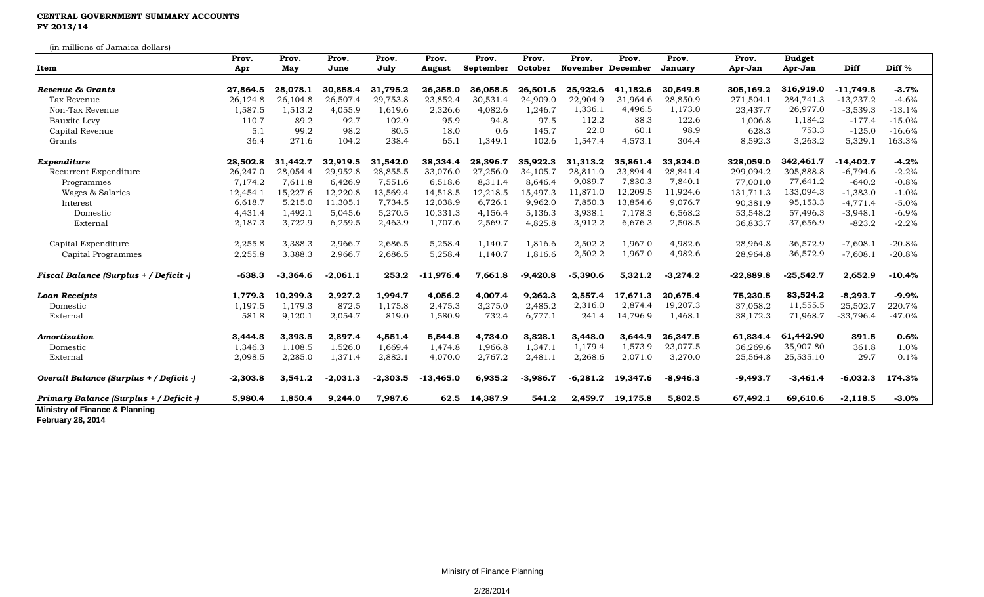## **CENTRAL GOVERNMENT SUMMARY ACCOUNTS FY 2013/14**

(in millions of Jamaica dollars)

|                                         | Prov.      | Prov.      | Prov.      | Prov.      | Prov.       | Prov.     | Prov.      | Prov.             | Prov.    | Prov.      | Prov.       | <b>Budget</b> |             |          |
|-----------------------------------------|------------|------------|------------|------------|-------------|-----------|------------|-------------------|----------|------------|-------------|---------------|-------------|----------|
| Item                                    | Apr        | May        | June       | July       | August      | September | October    | November December |          | January    | Apr-Jan     | Apr-Jan       | Diff        | Diff $%$ |
| Revenue & Grants                        | 27,864.5   | 28,078.1   | 30,858.4   | 31,795.2   | 26,358.0    | 36,058.5  | 26,501.5   | 25,922.6          | 41,182.6 | 30.549.8   | 305,169.2   | 316,919.0     | $-11.749.8$ | $-3.7%$  |
| Tax Revenue                             | 26,124.8   | 26,104.8   | 26,507.4   | 29,753.8   | 23,852.4    | 30,531.4  | 24,909.0   | 22,904.9          | 31,964.6 | 28,850.9   | 271,504.1   | 284,741.3     | $-13,237.2$ | $-4.6%$  |
| Non-Tax Revenue                         | 1,587.5    | 1,513.2    | 4,055.9    | 1,619.6    | 2,326.6     | 4,082.6   | 1,246.7    | 1,336.1           | 4,496.5  | 1,173.0    | 23,437.7    | 26,977.0      | $-3,539.3$  | $-13.1%$ |
| <b>Bauxite Levy</b>                     | 110.7      | 89.2       | 92.7       | 102.9      | 95.9        | 94.8      | 97.5       | 112.2             | 88.3     | 122.6      | 1,006.8     | 1,184.2       | $-177.4$    | $-15.0%$ |
| Capital Revenue                         | 5.1        | 99.2       | 98.2       | 80.5       | 18.0        | 0.6       | 145.7      | 22.0              | 60.1     | 98.9       | 628.3       | 753.3         | $-125.0$    | $-16.6%$ |
| Grants                                  | 36.4       | 271.6      | 104.2      | 238.4      | 65.1        | 1,349.1   | 102.6      | 1,547.4           | 4,573.1  | 304.4      | 8,592.3     | 3,263.2       | 5,329.1     | 163.3%   |
| Expenditure                             | 28,502.8   | 31,442.7   | 32,919.5   | 31,542.0   | 38,334.4    | 28,396.7  | 35,922.3   | 31,313.2          | 35,861.4 | 33,824.0   | 328,059.0   | 342,461.7     | $-14,402.7$ | $-4.2%$  |
| Recurrent Expenditure                   | 26,247.0   | 28,054.4   | 29,952.8   | 28,855.5   | 33,076.0    | 27,256.0  | 34,105.7   | 28,811.0          | 33,894.4 | 28,841.4   | 299,094.2   | 305,888.8     | $-6,794.6$  | $-2.2%$  |
| Programmes                              | 7,174.2    | 7,611.8    | 6,426.9    | 7,551.6    | 6,518.6     | 8,311.4   | 8.646.4    | 9,089.7           | 7,830.3  | 7,840.1    | 77,001.0    | 77,641.2      | $-640.2$    | $-0.8%$  |
| Wages & Salaries                        | 12,454.1   | 15,227.6   | 12,220.8   | 13,569.4   | 14,518.5    | 12,218.5  | 15,497.3   | 11,871.0          | 12,209.5 | 11,924.6   | 131,711.3   | 133,094.3     | $-1,383.0$  | $-1.0%$  |
| Interest                                | 6,618.7    | 5,215.0    | 11,305.1   | 7,734.5    | 12,038.9    | 6,726.1   | 9,962.0    | 7,850.3           | 13,854.6 | 9,076.7    | 90,381.9    | 95,153.3      | $-4,771.4$  | $-5.0%$  |
| Domestic                                | 4,431.4    | 1,492.1    | 5,045.6    | 5,270.5    | 10,331.3    | 4,156.4   | 5,136.3    | 3,938.1           | 7,178.3  | 6,568.2    | 53,548.2    | 57,496.3      | $-3,948.1$  | $-6.9%$  |
| External                                | 2,187.3    | 3,722.9    | 6,259.5    | 2,463.9    | 1,707.6     | 2,569.7   | 4,825.8    | 3,912.2           | 6,676.3  | 2,508.5    | 36,833.7    | 37,656.9      | $-823.2$    | $-2.2%$  |
| Capital Expenditure                     | 2,255.8    | 3,388.3    | 2,966.7    | 2,686.5    | 5,258.4     | 1,140.7   | 1,816.6    | 2,502.2           | 1,967.0  | 4,982.6    | 28,964.8    | 36,572.9      | $-7,608.1$  | $-20.8%$ |
| Capital Programmes                      | 2,255.8    | 3,388.3    | 2,966.7    | 2,686.5    | 5,258.4     | 1,140.7   | 1,816.6    | 2,502.2           | 1,967.0  | 4,982.6    | 28,964.8    | 36,572.9      | $-7,608.1$  | $-20.8%$ |
| Fiscal Balance (Surplus + / Deficit -)  | $-638.3$   | $-3,364.6$ | $-2,061.1$ | 253.2      | $-11,976.4$ | 7,661.8   | $-9,420.8$ | $-5,390.6$        | 5,321.2  | $-3,274.2$ | $-22,889.8$ | $-25,542.7$   | 2,652.9     | $-10.4%$ |
| <b>Loan Receipts</b>                    | 1,779.3    | 10,299.3   | 2,927.2    | 1,994.7    | 4,056.2     | 4,007.4   | 9,262.3    | 2,557.4           | 17,671.3 | 20,675.4   | 75,230.5    | 83,524.2      | $-8,293.7$  | $-9.9%$  |
| Domestic                                | 1,197.5    | 1,179.3    | 872.5      | 1,175.8    | 2,475.3     | 3,275.0   | 2,485.2    | 2,316.0           | 2,874.4  | 19,207.3   | 37,058.2    | 11,555.5      | 25,502.7    | 220.7%   |
| External                                | 581.8      | 9,120.1    | 2,054.7    | 819.0      | 1,580.9     | 732.4     | 6,777.1    | 241.4             | 14,796.9 | 1,468.1    | 38,172.3    | 71,968.7      | $-33,796.4$ | $-47.0%$ |
| Amortization                            | 3,444.8    | 3,393.5    | 2,897.4    | 4,551.4    | 5,544.8     | 4,734.0   | 3,828.1    | 3,448.0           | 3,644.9  | 26.347.5   | 61,834.4    | 61,442.90     | 391.5       | 0.6%     |
| Domestic                                | 1,346.3    | 1,108.5    | 1,526.0    | 1,669.4    | 1,474.8     | 1,966.8   | 1,347.1    | 1,179.4           | 1,573.9  | 23,077.5   | 36,269.6    | 35,907.80     | 361.8       | 1.0%     |
| External                                | 2,098.5    | 2,285.0    | 1,371.4    | 2,882.1    | 4,070.0     | 2,767.2   | 2,481.1    | 2,268.6           | 2,071.0  | 3,270.0    | 25,564.8    | 25,535.10     | 29.7        | 0.1%     |
| Overall Balance (Surplus + / Deficit -) | $-2,303.8$ | 3,541.2    | $-2,031.3$ | $-2,303.5$ | $-13,465.0$ | 6,935.2   | $-3,986.7$ | $-6,281.2$        | 19,347.6 | $-8,946.3$ | $-9,493.7$  | $-3,461.4$    | $-6,032.3$  | 174.3%   |
| Primary Balance (Surplus + / Deficit -) | 5,980.4    | 1,850.4    | 9,244.0    | 7,987.6    | 62.5        | 14,387.9  | 541.2      | 2,459.7           | 19,175.8 | 5,802.5    | 67,492.1    | 69,610.6      | $-2,118.5$  | $-3.0%$  |

**February 28, 2014**